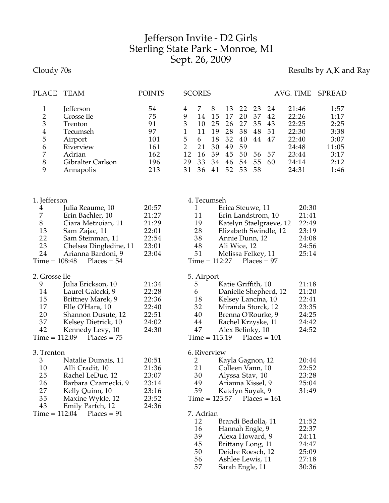## Jefferson Invite - D2 Girls Sterling State Park - Monroe, MI Sept. 26, 2009

Cloudy 70s **Results by A,K and Ray** 

| PLACE                                                                                      | TEAM                                                                                                                                                              | <b>POINTS</b>                                               |                                                                      | <b>SCORES</b>                                                                              |                                                   |                                                                                                                                                                                                                                             |                                                    |                                              |                                                                                         | AVG. TIME                                                                                       | <b>SPREAD</b>                                                         |
|--------------------------------------------------------------------------------------------|-------------------------------------------------------------------------------------------------------------------------------------------------------------------|-------------------------------------------------------------|----------------------------------------------------------------------|--------------------------------------------------------------------------------------------|---------------------------------------------------|---------------------------------------------------------------------------------------------------------------------------------------------------------------------------------------------------------------------------------------------|----------------------------------------------------|----------------------------------------------|-----------------------------------------------------------------------------------------|-------------------------------------------------------------------------------------------------|-----------------------------------------------------------------------|
| $\mathbf 1$<br>$\overline{2}$<br>3<br>$\overline{\mathbf{4}}$<br>5<br>6<br>7<br>$8\,$<br>9 | Jefferson<br>Grosse Ile<br>Trenton<br>Tecumseh<br>Airport<br>Riverview<br>Adrian<br>Gibralter Carlson<br>Annapolis                                                | 54<br>75<br>91<br>97<br>101<br>161<br>162<br>196<br>213     | 4<br>9<br>3<br>$\mathbf{1}$<br>5<br>$\overline{2}$<br>12<br>29<br>31 | 7<br>14<br>10<br>11<br>6<br>21<br>16<br>33<br>36                                           | 8<br>15<br>25<br>19<br>18<br>30<br>39<br>34<br>41 | 13<br>17<br>26<br>28<br>32<br>49<br>45<br>46<br>52                                                                                                                                                                                          | 22<br>20<br>27<br>38<br>40<br>59<br>50<br>54<br>53 | 23<br>37<br>35<br>48<br>44<br>56<br>55<br>58 | 24<br>42<br>43<br>51<br>47<br>57<br>60                                                  | 21:46<br>22:26<br>22:25<br>22:30<br>22:40<br>24:48<br>23:44<br>24:14<br>24:31                   | 1:57<br>1:17<br>2:25<br>3:38<br>3:07<br>11:05<br>3:17<br>2:12<br>1:46 |
| 1. Jefferson                                                                               |                                                                                                                                                                   |                                                             |                                                                      | 4. Tecumseh                                                                                |                                                   |                                                                                                                                                                                                                                             |                                                    |                                              |                                                                                         |                                                                                                 |                                                                       |
| 4<br>7<br>$8\,$<br>13<br>22<br>23<br>24<br>$Time = 108:48$                                 | Julia Reaume, 10<br>Erin Bachler, 10<br>Ciara Metzoian, 11<br>Sam Zajac, 11<br>Sam Steinman, 11<br>Chelsea Dingledine, 11<br>Arianna Bardoni, 9<br>$Places = 54$  | 20:57<br>21:27<br>21:29<br>22:01<br>22:54<br>23:01<br>23:04 |                                                                      | 1<br>11<br>19<br>28<br>38<br>48<br>51                                                      |                                                   | Erica Steuwe, 11<br>Annie Dunn, 12<br>Ali Wice, 12<br>Melissa Felkey, 11<br>$Time = 112:27$                                                                                                                                                 |                                                    |                                              | Erin Landstrom, 10<br>Katelyn Staelgraeve, 12<br>Elizabeth Swindle, 12<br>$Places = 97$ | 20:30<br>21:41<br>22:49<br>23:19<br>24:08<br>24:56<br>25:14                                     |                                                                       |
| 2. Grosse Ile<br>9<br>14<br>15<br>17<br>20<br>37<br>42<br>$Time = 112:09$                  | Julia Erickson, 10<br>Laurel Galecki, 9<br>Brittney Marek, 9<br>Elle O'Hara, 10<br>Shannon Dusute, 12<br>Kelsey Dietrick, 10<br>Kennedy Levy, 10<br>$Places = 75$ | 21:34<br>22:28<br>22:36<br>22:40<br>22:51<br>24:02<br>24:30 |                                                                      | 5. Airport<br>5<br>6<br>18<br>32<br>40<br>44<br>47<br>$Time = 113:19$                      |                                                   | Katie Griffith, 10<br>Kelsey Lancina, 10<br>Miranda Storck, 12<br>Brenna O'Rourke, 9<br>Rachel Krzyske, 11<br>Alex Belinky, 10                                                                                                              |                                                    |                                              | Danielle Shepherd, 12<br>$Places = 101$                                                 | 21:18<br>21:20<br>22:41<br>23:35<br>24:25<br>24:42<br>24:52                                     |                                                                       |
| 3. Trenton<br>3<br>10<br>25<br>26<br>27<br>35<br>43<br>$Time = 112:04$                     | Natalie Dumais, 11<br>Alli Cradit, 10<br>Rachel LeDuc, 12<br>Barbara Czarnecki, 9<br>Kelly Quinn, 10<br>Maxine Wykle, 12<br>Emily Partch, 12<br>$Places = 91$     | 20:51<br>21:36<br>23:07<br>23:14<br>23:16<br>23:52<br>24:36 |                                                                      | 6. Riverview<br>2<br>21<br>30<br>49<br>59<br>7. Adrian<br>12<br>16<br>39<br>45<br>50<br>56 |                                                   | Kayla Gagnon, 12<br>Colleen Vann, 10<br>Alyssa Stav, 10<br>Arianna Kissel, 9<br>Katelyn Suyak, 9<br>Time = 123:57<br>Brandi Bedolla, 11<br>Hannah Engle, 9<br>Alexa Howard, 9<br>Brittany Long, 11<br>Deidre Roesch, 12<br>Ashlee Lewis, 11 |                                                    |                                              | $Places = 161$                                                                          | 20:44<br>22:52<br>23:28<br>25:04<br>31:49<br>21:52<br>22:37<br>24:11<br>24:47<br>25:09<br>27:18 |                                                                       |

56 Ashlee Lewis, 11 27:18<br>57 Sarah Engle, 11 30:36

Sarah Engle, 11